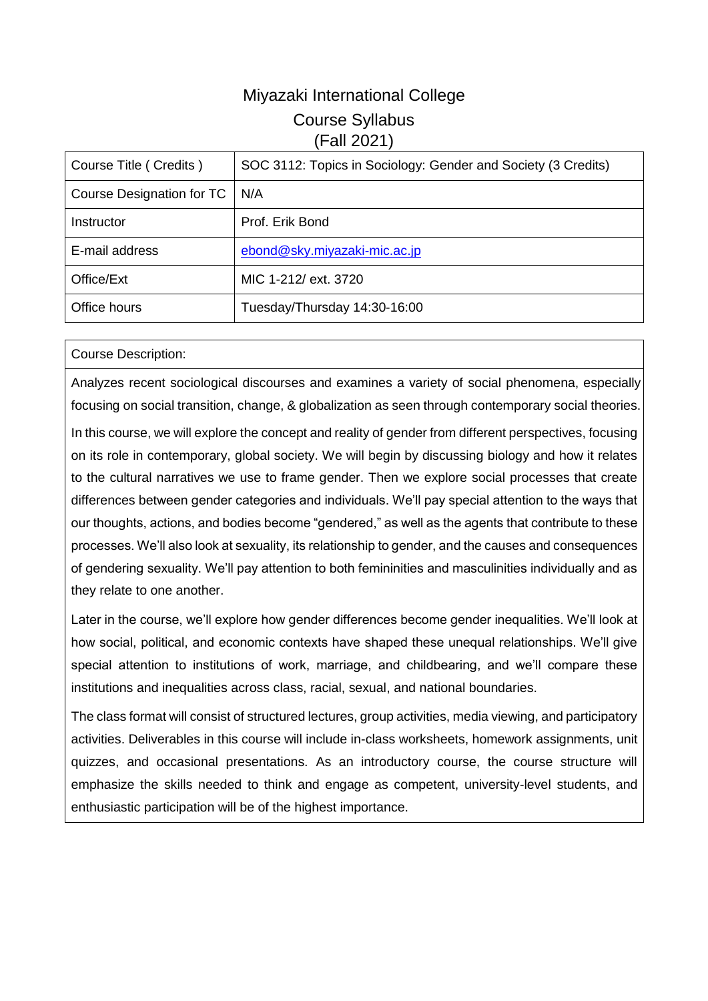# Miyazaki International College Course Syllabus (Fall 2021)

| Course Title (Credits)    | SOC 3112: Topics in Sociology: Gender and Society (3 Credits) |
|---------------------------|---------------------------------------------------------------|
| Course Designation for TC | N/A                                                           |
| Instructor                | Prof. Erik Bond                                               |
| E-mail address            | ebond@sky.miyazaki-mic.ac.jp                                  |
| Office/Ext                | MIC 1-212/ ext. 3720                                          |
| Office hours              | Tuesday/Thursday 14:30-16:00                                  |

### Course Description:

Analyzes recent sociological discourses and examines a variety of social phenomena, especially focusing on social transition, change, & globalization as seen through contemporary social theories.

In this course, we will explore the concept and reality of gender from different perspectives, focusing on its role in contemporary, global society. We will begin by discussing biology and how it relates to the cultural narratives we use to frame gender. Then we explore social processes that create differences between gender categories and individuals. We'll pay special attention to the ways that our thoughts, actions, and bodies become "gendered," as well as the agents that contribute to these processes. We'll also look at sexuality, its relationship to gender, and the causes and consequences of gendering sexuality. We'll pay attention to both femininities and masculinities individually and as they relate to one another.

Later in the course, we'll explore how gender differences become gender inequalities. We'll look at how social, political, and economic contexts have shaped these unequal relationships. We'll give special attention to institutions of work, marriage, and childbearing, and we'll compare these institutions and inequalities across class, racial, sexual, and national boundaries.

The class format will consist of structured lectures, group activities, media viewing, and participatory activities. Deliverables in this course will include in-class worksheets, homework assignments, unit quizzes, and occasional presentations. As an introductory course, the course structure will emphasize the skills needed to think and engage as competent, university-level students, and enthusiastic participation will be of the highest importance.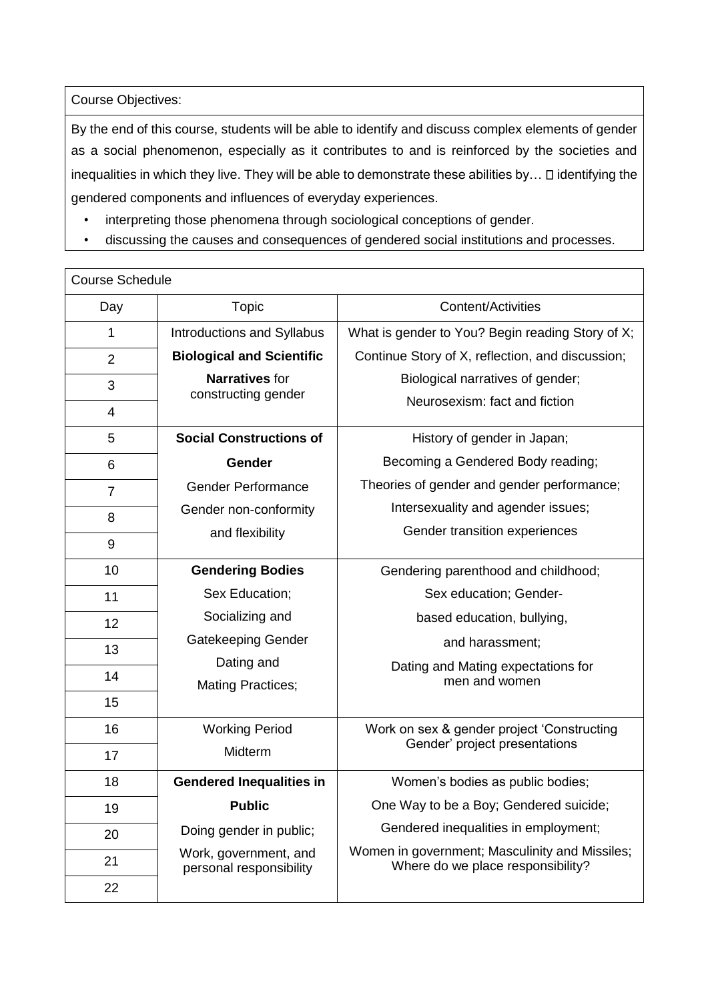Course Objectives:

By the end of this course, students will be able to identify and discuss complex elements of gender as a social phenomenon, especially as it contributes to and is reinforced by the societies and inequalities in which they live. They will be able to demonstrate these abilities by...  $\square$  identifying the gendered components and influences of everyday experiences.

- interpreting those phenomena through sociological conceptions of gender.
- discussing the causes and consequences of gendered social institutions and processes.

| <b>Course Schedule</b> |                                                  |                                                                                     |  |  |
|------------------------|--------------------------------------------------|-------------------------------------------------------------------------------------|--|--|
| Day                    | Topic                                            | <b>Content/Activities</b>                                                           |  |  |
| 1                      | Introductions and Syllabus                       | What is gender to You? Begin reading Story of X;                                    |  |  |
| $\overline{2}$         | <b>Biological and Scientific</b>                 | Continue Story of X, reflection, and discussion;                                    |  |  |
| 3                      | <b>Narratives</b> for                            | Biological narratives of gender;                                                    |  |  |
| 4                      | constructing gender                              | Neurosexism: fact and fiction                                                       |  |  |
| 5                      | <b>Social Constructions of</b>                   | History of gender in Japan;                                                         |  |  |
| 6                      | Gender                                           | Becoming a Gendered Body reading;                                                   |  |  |
| $\overline{7}$         | <b>Gender Performance</b>                        | Theories of gender and gender performance;                                          |  |  |
| 8                      | Gender non-conformity                            | Intersexuality and agender issues;                                                  |  |  |
| 9                      | and flexibility                                  | Gender transition experiences                                                       |  |  |
|                        |                                                  |                                                                                     |  |  |
| 10                     | <b>Gendering Bodies</b>                          | Gendering parenthood and childhood;                                                 |  |  |
| 11                     | Sex Education:                                   | Sex education; Gender-                                                              |  |  |
| 12                     | Socializing and                                  | based education, bullying,                                                          |  |  |
| 13                     | <b>Gatekeeping Gender</b>                        | and harassment;                                                                     |  |  |
|                        | Dating and                                       | Dating and Mating expectations for                                                  |  |  |
| 14                     | <b>Mating Practices;</b>                         | men and women                                                                       |  |  |
| 15                     |                                                  |                                                                                     |  |  |
| 16                     | <b>Working Period</b><br>Midterm                 | Work on sex & gender project 'Constructing<br>Gender' project presentations         |  |  |
| 17                     |                                                  |                                                                                     |  |  |
| 18                     | <b>Gendered Inequalities in</b>                  | Women's bodies as public bodies;                                                    |  |  |
| 19                     | <b>Public</b>                                    | One Way to be a Boy; Gendered suicide;                                              |  |  |
| 20                     | Doing gender in public;                          | Gendered inequalities in employment;                                                |  |  |
| 21                     | Work, government, and<br>personal responsibility | Women in government; Masculinity and Missiles;<br>Where do we place responsibility? |  |  |
| 22                     |                                                  |                                                                                     |  |  |
|                        |                                                  |                                                                                     |  |  |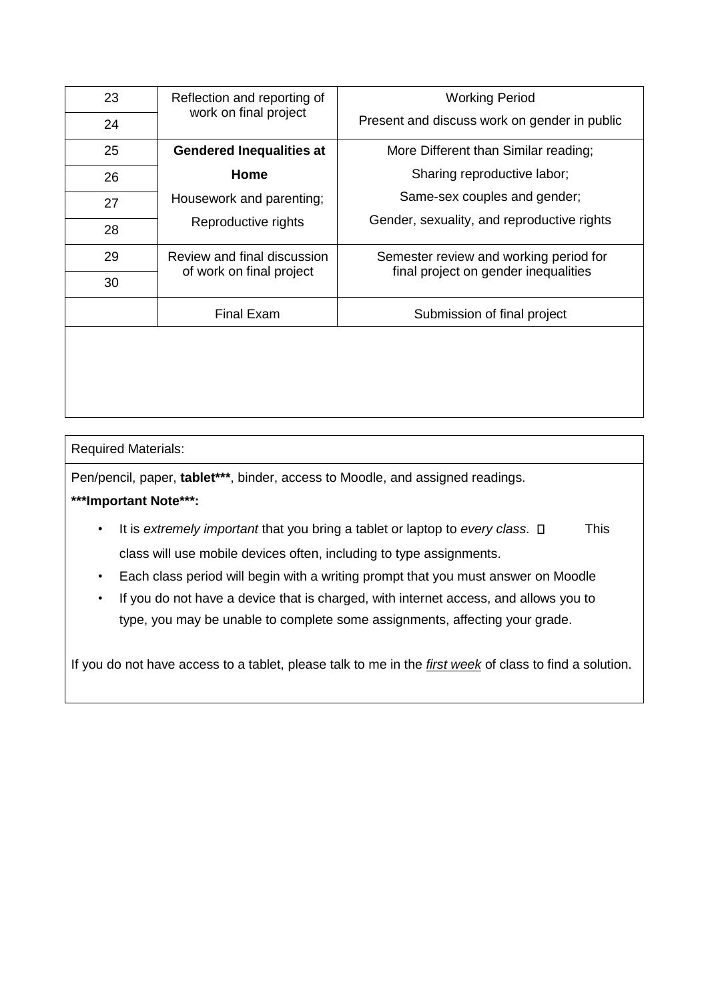| 23 | Reflection and reporting of<br>work on final project | <b>Working Period</b>                        |
|----|------------------------------------------------------|----------------------------------------------|
| 24 |                                                      | Present and discuss work on gender in public |
| 25 | <b>Gendered Inequalities at</b>                      | More Different than Similar reading;         |
| 26 | Home                                                 | Sharing reproductive labor;                  |
| 27 | Housework and parenting;<br>Reproductive rights      | Same-sex couples and gender;                 |
| 28 |                                                      | Gender, sexuality, and reproductive rights   |
| 29 | Review and final discussion                          | Semester review and working period for       |
| 30 | of work on final project                             | final project on gender inequalities         |
|    | <b>Final Exam</b>                                    | Submission of final project                  |
|    |                                                      |                                              |
|    |                                                      |                                              |

## Required Materials:

Pen/pencil, paper, **tablet\*\*\***, binder, access to Moodle, and assigned readings.

## **\*\*\*Important Note\*\*\*:**

- It is *extremely important* that you bring a tablet or laptop to *every class*.  $\square$  This class will use mobile devices often, including to type assignments.
- Each class period will begin with a writing prompt that you must answer on Moodle
- If you do not have a device that is charged, with internet access, and allows you to type, you may be unable to complete some assignments, affecting your grade.

If you do not have access to a tablet, please talk to me in the *first week* of class to find a solution.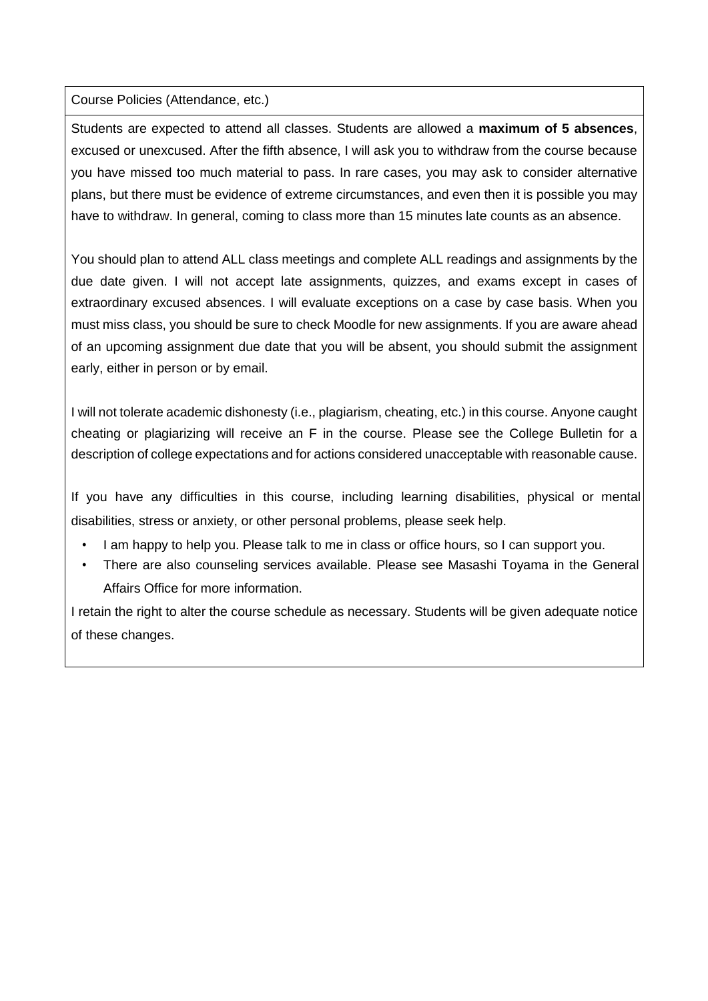Course Policies (Attendance, etc.)

Students are expected to attend all classes. Students are allowed a **maximum of 5 absences**, excused or unexcused. After the fifth absence, I will ask you to withdraw from the course because you have missed too much material to pass. In rare cases, you may ask to consider alternative plans, but there must be evidence of extreme circumstances, and even then it is possible you may have to withdraw. In general, coming to class more than 15 minutes late counts as an absence.

You should plan to attend ALL class meetings and complete ALL readings and assignments by the due date given. I will not accept late assignments, quizzes, and exams except in cases of extraordinary excused absences. I will evaluate exceptions on a case by case basis. When you must miss class, you should be sure to check Moodle for new assignments. If you are aware ahead of an upcoming assignment due date that you will be absent, you should submit the assignment early, either in person or by email.

I will not tolerate academic dishonesty (i.e., plagiarism, cheating, etc.) in this course. Anyone caught cheating or plagiarizing will receive an F in the course. Please see the College Bulletin for a description of college expectations and for actions considered unacceptable with reasonable cause.

If you have any difficulties in this course, including learning disabilities, physical or mental disabilities, stress or anxiety, or other personal problems, please seek help.

- I am happy to help you. Please talk to me in class or office hours, so I can support you.
- There are also counseling services available. Please see Masashi Toyama in the General Affairs Office for more information.

I retain the right to alter the course schedule as necessary. Students will be given adequate notice of these changes.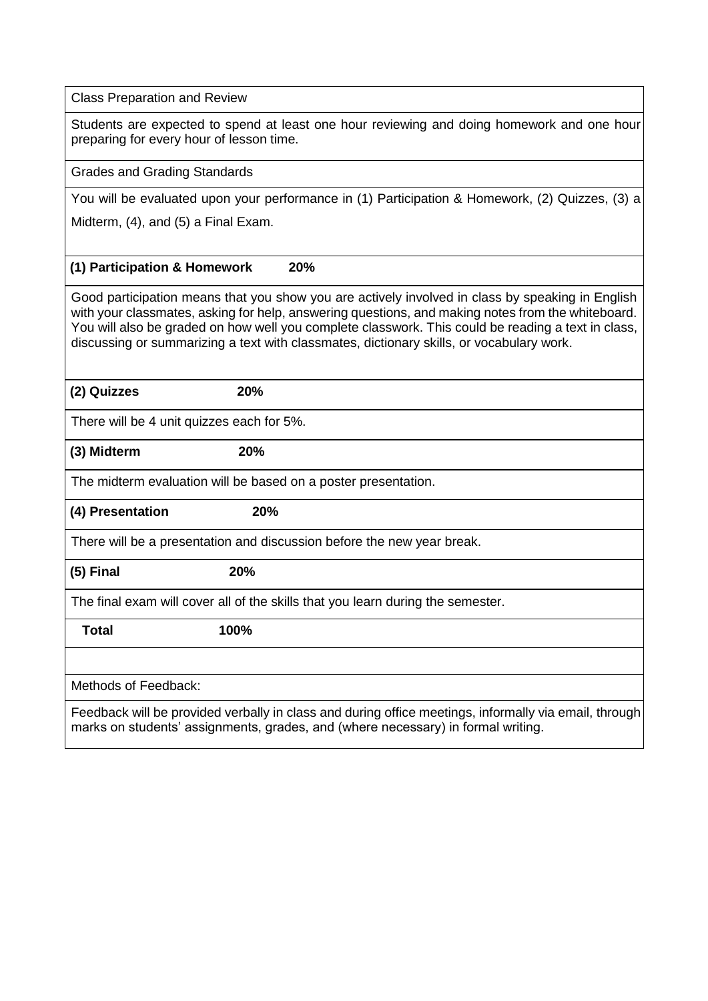Class Preparation and Review

Students are expected to spend at least one hour reviewing and doing homework and one hour preparing for every hour of lesson time.

Grades and Grading Standards

You will be evaluated upon your performance in (1) Participation & Homework, (2) Quizzes, (3) a

Midterm, (4), and (5) a Final Exam.

### **(1) Participation & Homework 20%**

Good participation means that you show you are actively involved in class by speaking in English with your classmates, asking for help, answering questions, and making notes from the whiteboard. You will also be graded on how well you complete classwork. This could be reading a text in class, discussing or summarizing a text with classmates, dictionary skills, or vocabulary work.

**(2) Quizzes 20%** 

There will be 4 unit quizzes each for 5%.

#### **(3) Midterm 20%**

The midterm evaluation will be based on a poster presentation.

**(4) Presentation 20%** 

There will be a presentation and discussion before the new year break.

**(5) Final 20%** 

The final exam will cover all of the skills that you learn during the semester.

 **Total 100%** 

Methods of Feedback:

Feedback will be provided verbally in class and during office meetings, informally via email, through marks on students' assignments, grades, and (where necessary) in formal writing.